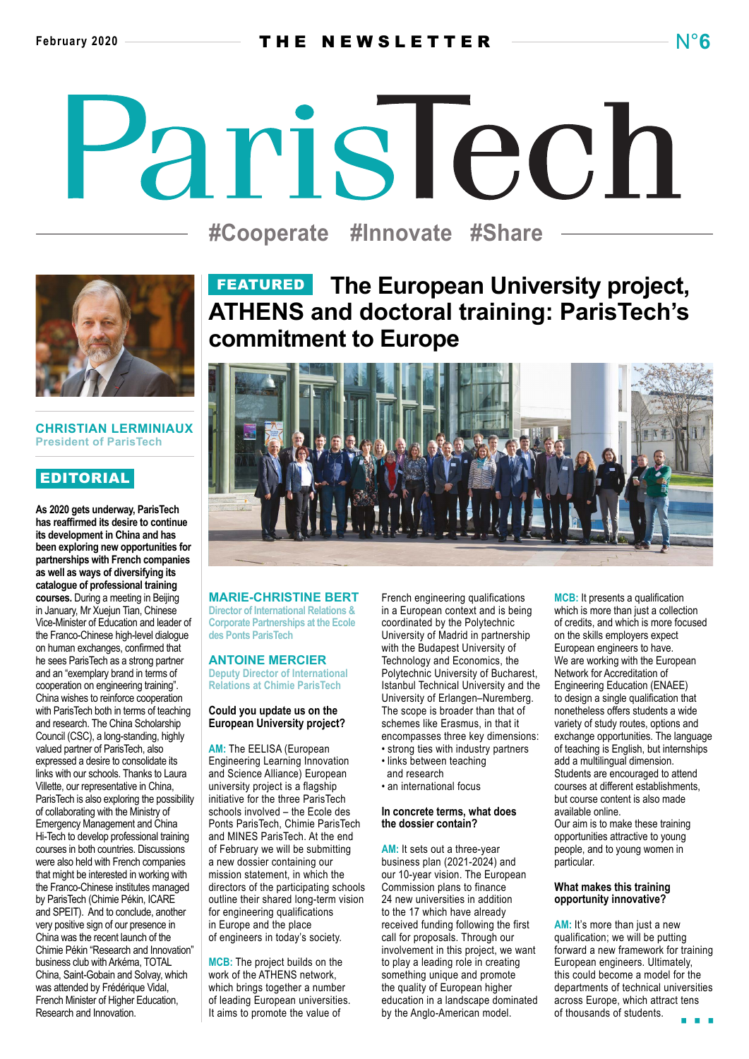# ParisTech

**#Cooperate #Innovate #Share**



#### **CHRISTIAN LERMINIAUX President of ParisTech**

# EDITORIAL

**As 2020 gets underway, ParisTech has reaffirmed its desire to continue its development in China and has been exploring new opportunities for partnerships with French companies as well as ways of diversifying its catalogue of professional training courses.** During a meeting in Beijing in January, Mr Xuejun Tian, Chinese Vice-Minister of Education and leader of the Franco-Chinese high-level dialogue on human exchanges, confirmed that he sees ParisTech as a strong partner and an "exemplary brand in terms of cooperation on engineering training". China wishes to reinforce cooperation with ParisTech both in terms of teaching and research. The China Scholarship Council (CSC), a long-standing, highly valued partner of ParisTech, also expressed a desire to consolidate its links with our schools. Thanks to Laura Villette, our representative in China, ParisTech is also exploring the possibility of collaborating with the Ministry of Emergency Management and China Hi-Tech to develop professional training courses in both countries. Discussions were also held with French companies that might be interested in working with the Franco-Chinese institutes managed by ParisTech (Chimie Pékin, ICARE and SPEIT). And to conclude, another very positive sign of our presence in China was the recent launch of the Chimie Pékin "Research and Innovation" business club with Arkéma, TOTAL China, Saint-Gobain and Solvay, which was attended by Frédérique Vidal, French Minister of Higher Education, Research and Innovation.

# FEATURED **The European University project, ATHENS and doctoral training: ParisTech's commitment to Europe**



#### **MARIE-CHRISTINE BERT**

**Director of International Relations & Corporate Partnerships at the Ecole des Ponts ParisTech**

#### **ANTOINE MERCIER**

**Deputy Director of International Relations at Chimie ParisTech**

#### **Could you update us on the European University project?**

**AM:** The EELISA (European Engineering Learning Innovation and Science Alliance) European university project is a flagship initiative for the three ParisTech schools involved – the Ecole des Ponts ParisTech, Chimie ParisTech and MINES ParisTech. At the end of February we will be submitting a new dossier containing our mission statement, in which the directors of the participating schools outline their shared long-term vision for engineering qualifications in Europe and the place of engineers in today's society.

**MCB:** The project builds on the work of the ATHENS network, which brings together a number of leading European universities. It aims to promote the value of

French engineering qualifications in a European context and is being coordinated by the Polytechnic University of Madrid in partnership with the Budapest University of Technology and Economics, the Polytechnic University of Bucharest, Istanbul Technical University and the University of Erlangen–Nuremberg. The scope is broader than that of schemes like Erasmus, in that it encompasses three key dimensions: • strong ties with industry partners

- links between teaching
- and research
- an international focus

#### **In concrete terms, what does the dossier contain?**

**AM:** It sets out a three-year business plan (2021-2024) and our 10-year vision. The European Commission plans to finance 24 new universities in addition to the 17 which have already received funding following the first call for proposals. Through our involvement in this project, we want to play a leading role in creating something unique and promote the quality of European higher education in a landscape dominated by the Anglo-American model.

**MCB:** It presents a qualification which is more than just a collection of credits, and which is more focused on the skills employers expect European engineers to have. We are working with the European Network for Accreditation of Engineering Education (ENAEE) to design a single qualification that nonetheless offers students a wide variety of study routes, options and exchange opportunities. The language of teaching is English, but internships add a multilingual dimension. Students are encouraged to attend courses at different establishments, but course content is also made available online. Our aim is to make these training opportunities attractive to young people, and to young women in particular.

#### **What makes this training opportunity innovative?**

**AM:** It's more than just a new qualification; we will be putting forward a new framework for training European engineers. Ultimately, this could become a model for the departments of technical universities across Europe, which attract tens of thousands of students.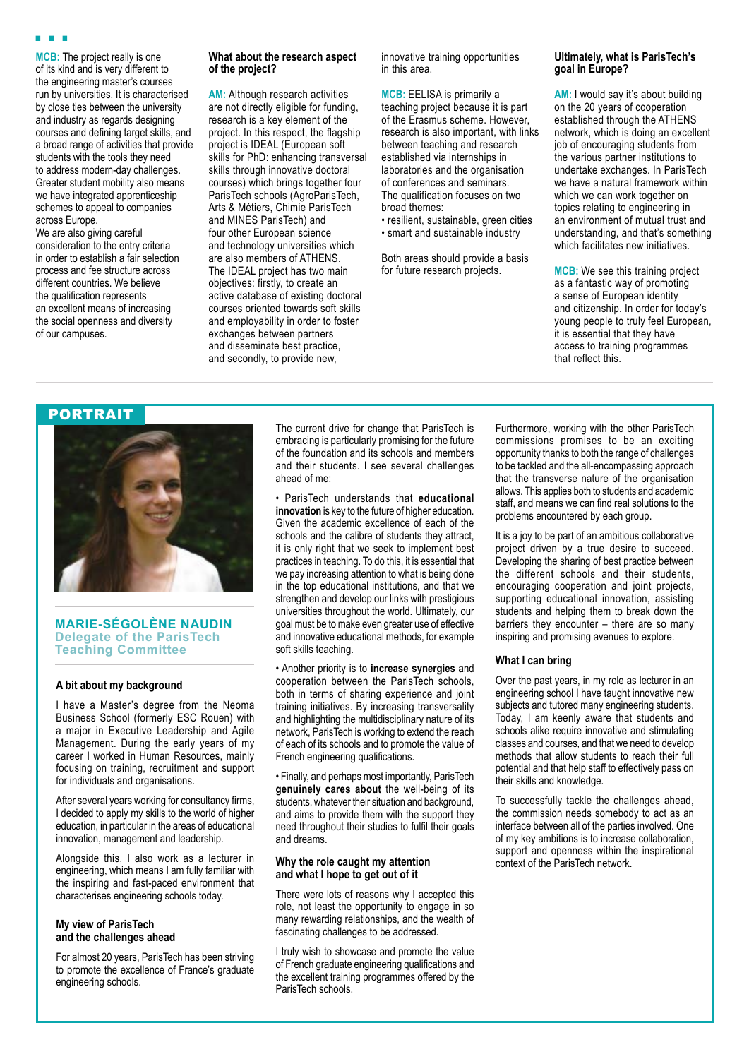**MCB:** The project really is one of its kind and is very different to the engineering master's courses run by universities. It is characterised by close ties between the university and industry as regards designing courses and defining target skills, and a broad range of activities that provide students with the tools they need to address modern-day challenges. Greater student mobility also means we have integrated apprenticeship schemes to appeal to companies across Europe.

We are also giving careful consideration to the entry criteria in order to establish a fair selection process and fee structure across different countries. We believe the qualification represents an excellent means of increasing the social openness and diversity of our campuses.

#### **What about the research aspect of the project?**

**AM:** Although research activities are not directly eligible for funding, research is a key element of the project. In this respect, the flagship project is IDEAL (European soft skills for PhD: enhancing transversal skills through innovative doctoral courses) which brings together four ParisTech schools (AgroParisTech, Arts & Métiers, Chimie ParisTech and MINES ParisTech) and four other European science and technology universities which are also members of ATHENS. The IDEAL project has two main objectives: firstly, to create an active database of existing doctoral courses oriented towards soft skills and employability in order to foster exchanges between partners and disseminate best practice, and secondly, to provide new,

innovative training opportunities in this area.

**MCB:** EELISA is primarily a teaching project because it is part of the Erasmus scheme. However, research is also important, with links between teaching and research established via internships in laboratories and the organisation of conferences and seminars. The qualification focuses on two broad themes:

• resilient, sustainable, green cities • smart and sustainable industry

Both areas should provide a basis for future research projects.

#### **Ultimately, what is ParisTech's goal in Europe?**

**AM:** I would say it's about building on the 20 years of cooperation established through the ATHENS network, which is doing an excellent job of encouraging students from the various partner institutions to undertake exchanges. In ParisTech we have a natural framework within which we can work together on topics relating to engineering in an environment of mutual trust and understanding, and that's something which facilitates new initiatives.

**MCB:** We see this training project as a fantastic way of promoting a sense of European identity and citizenship. In order for today's young people to truly feel European, it is essential that they have access to training programmes that reflect this.

## **PORTRAIT**



**MARIE-SÉGOLÈNE NAUDIN Delegate of the ParisTech Teaching Committee**

#### **A bit about my background**

I have a Master's degree from the Neoma Business School (formerly ESC Rouen) with a major in Executive Leadership and Agile Management. During the early years of my career I worked in Human Resources, mainly focusing on training, recruitment and support for individuals and organisations.

After several years working for consultancy firms, I decided to apply my skills to the world of higher education, in particular in the areas of educational innovation, management and leadership.

Alongside this, I also work as a lecturer in engineering, which means I am fully familiar with the inspiring and fast-paced environment that characterises engineering schools today.

#### **My view of ParisTech and the challenges ahead**

For almost 20 years, ParisTech has been striving to promote the excellence of France's graduate engineering schools.

The current drive for change that ParisTech is embracing is particularly promising for the future of the foundation and its schools and members and their students. I see several challenges ahead of me:

• ParisTech understands that **educational innovation** is key to the future of higher education. Given the academic excellence of each of the schools and the calibre of students they attract, it is only right that we seek to implement best practices in teaching. To do this, it is essential that we pay increasing attention to what is being done in the top educational institutions, and that we strengthen and develop our links with prestigious universities throughout the world. Ultimately, our goal must be to make even greater use of effective and innovative educational methods, for example soft skills teaching.

• Another priority is to **increase synergies** and cooperation between the ParisTech schools, both in terms of sharing experience and joint training initiatives. By increasing transversality and highlighting the multidisciplinary nature of its network, ParisTech is working to extend the reach of each of its schools and to promote the value of French engineering qualifications.

• Finally, and perhaps most importantly, ParisTech **genuinely cares about** the well-being of its students, whatever their situation and background, and aims to provide them with the support they need throughout their studies to fulfil their goals and dreams.

#### **Why the role caught my attention and what I hope to get out of it**

There were lots of reasons why I accepted this role, not least the opportunity to engage in so many rewarding relationships, and the wealth of fascinating challenges to be addressed.

I truly wish to showcase and promote the value of French graduate engineering qualifications and the excellent training programmes offered by the ParisTech schools.

Furthermore, working with the other ParisTech commissions promises to be an exciting opportunity thanks to both the range of challenges to be tackled and the all-encompassing approach that the transverse nature of the organisation allows. This applies both to students and academic staff, and means we can find real solutions to the problems encountered by each group.

It is a joy to be part of an ambitious collaborative project driven by a true desire to succeed. Developing the sharing of best practice between the different schools and their students, encouraging cooperation and joint projects, supporting educational innovation, assisting students and helping them to break down the barriers they encounter – there are so many inspiring and promising avenues to explore.

#### **What I can bring**

Over the past years, in my role as lecturer in an engineering school I have taught innovative new subjects and tutored many engineering students. Today, I am keenly aware that students and schools alike require innovative and stimulating classes and courses, and that we need to develop methods that allow students to reach their full potential and that help staff to effectively pass on their skills and knowledge.

To successfully tackle the challenges ahead, the commission needs somebody to act as an interface between all of the parties involved. One of my key ambitions is to increase collaboration, support and openness within the inspirational context of the ParisTech network.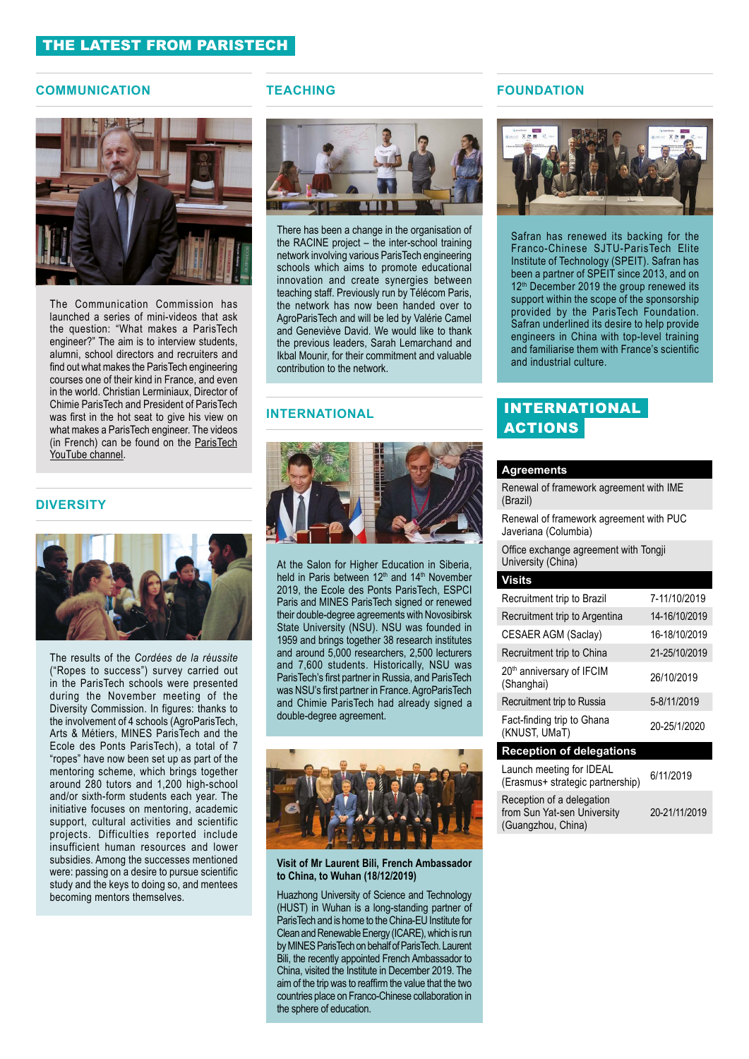#### **COMMUNICATION**



The Communication Commission has launched a series of mini-videos that ask the question: "What makes a ParisTech engineer?" The aim is to interview students, alumni, school directors and recruiters and find out what makes the ParisTech engineering courses one of their kind in France, and even in the world. Christian Lerminiaux, Director of Chimie ParisTech and President of ParisTech was first in the hot seat to give his view on what makes a ParisTech engineer. The videos (in French) can be found on the [ParisTech](https://www.youtube.com/watch?v=VeUi5PERem8&t=3s)  [YouTube channel.](https://www.youtube.com/watch?v=VeUi5PERem8&t=3s)

#### **DIVERSITY**



The results of the *Cordées de la réussite*  ("Ropes to success") survey carried out in the ParisTech schools were presented during the November meeting of the Diversity Commission. In figures: thanks to the involvement of 4 schools (AgroParisTech, Arts & Métiers, MINES ParisTech and the Ecole des Ponts ParisTech), a total of 7 "ropes" have now been set up as part of the mentoring scheme, which brings together around 280 tutors and 1,200 high-school and/or sixth-form students each year. The initiative focuses on mentoring, academic support, cultural activities and scientific projects. Difficulties reported include insufficient human resources and lower subsidies. Among the successes mentioned were: passing on a desire to pursue scientific study and the keys to doing so, and mentees becoming mentors themselves.

#### **TEACHING**



There has been a change in the organisation of the RACINE project – the inter-school training network involving various ParisTech engineering schools which aims to promote educational innovation and create synergies between teaching staff. Previously run by Télécom Paris, the network has now been handed over to AgroParisTech and will be led by Valérie Camel and Geneviève David. We would like to thank the previous leaders, Sarah Lemarchand and Ikbal Mounir, for their commitment and valuable contribution to the network.

#### **INTERNATIONAL**



At the Salon for Higher Education in Siberia, held in Paris between 12<sup>th</sup> and 14<sup>th</sup> November 2019, the Ecole des Ponts ParisTech, ESPCI Paris and MINES ParisTech signed or renewed their double-degree agreements with Novosibirsk State University (NSU). NSU was founded in 1959 and brings together 38 research institutes and around 5,000 researchers, 2,500 lecturers and 7,600 students. Historically, NSU was ParisTech's first partner in Russia, and ParisTech was NSU's first partner in France. AgroParisTech and Chimie ParisTech had already signed a double-degree agreement.



**Visit of Mr Laurent Bili, French Ambassador to China, to Wuhan (18/12/2019)**

Huazhong University of Science and Technology (HUST) in Wuhan is a long-standing partner of ParisTech and is home to the China-EU Institute for Clean and Renewable Energy (ICARE), which is run by MINES ParisTech on behalf of ParisTech. Laurent Bili, the recently appointed French Ambassador to China, visited the Institute in December 2019. The aim of the trip was to reaffirm the value that the two countries place on Franco-Chinese collaboration in the sphere of education.

#### **FOUNDATION**



Safran has renewed its backing for the Franco-Chinese SJTU-ParisTech Elite Institute of Technology (SPEIT). Safran has been a partner of SPEIT since 2013, and on 12<sup>th</sup> December 2019 the group renewed its support within the scope of the sponsorship provided by the ParisTech Foundation. Safran underlined its desire to help provide engineers in China with top-level training and familiarise them with France's scientific and industrial culture.

## INTERNATIONAL **ACTIONS**

#### **Agreements**

| Renewal of framework agreement with IME<br>(Brazil)                            |               |
|--------------------------------------------------------------------------------|---------------|
| Renewal of framework agreement with PUC<br>Javeriana (Columbia)                |               |
| Office exchange agreement with Tongji<br>University (China)                    |               |
| <b>Visits</b>                                                                  |               |
| Recruitment trip to Brazil                                                     | 7-11/10/2019  |
| Recruitment trip to Argentina                                                  | 14-16/10/2019 |
| CESAER AGM (Saclay)                                                            | 16-18/10/2019 |
| Recruitment trip to China                                                      | 21-25/10/2019 |
| 20 <sup>th</sup> anniversary of IFCIM<br>(Shanghai)                            | 26/10/2019    |
| Recruitment trip to Russia                                                     | 5-8/11/2019   |
| Fact-finding trip to Ghana<br>(KNUST, UMaT)                                    | 20-25/1/2020  |
| <b>Reception of delegations</b>                                                |               |
| Launch meeting for IDEAL<br>(Erasmus+ strategic partnership)                   | 6/11/2019     |
| Reception of a delegation<br>from Sun Yat-sen University<br>(Guangzhou, China) | 20-21/11/2019 |